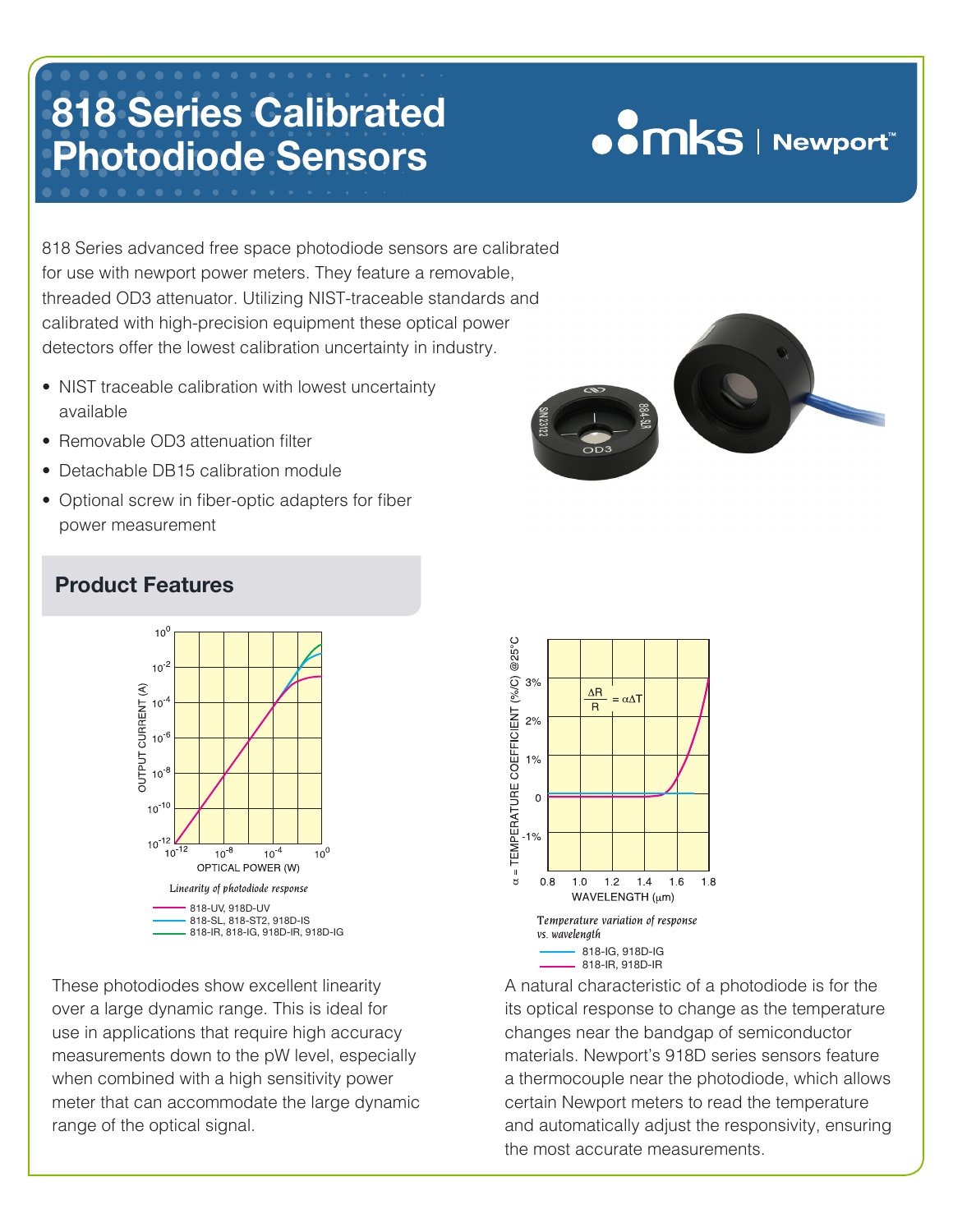# **OOMKS** | Newport

818 Series advanced free space photodiode sensors are calibrated for use with newport power meters. They feature a removable, threaded OD3 attenuator. Utilizing NIST-traceable standards and calibrated with high-precision equipment these optical power detectors offer the lowest calibration uncertainty in industry.

- **•** NIST traceable calibration with lowest uncertainty available
- Removable OD3 attenuation filter
- Detachable DB15 calibration module
- Optional screw in fiber-optic adapters for fiber power measurement



These photodiodes show excellent linearity over a large dynamic range. This is ideal for use in applications that require high accuracy measurements down to the pW level, especially when combined with a high sensitivity power meter that can accommodate the large dynamic range of the optical signal.



A natural characteristic of a photodiode is for the its optical response to change as the temperature changes near the bandgap of semiconductor materials. Newport's 918D series sensors feature a thermocouple near the photodiode, which allows certain Newport meters to read the temperature and automatically adjust the responsivity, ensuring the most accurate measurements.

### **Product Features**

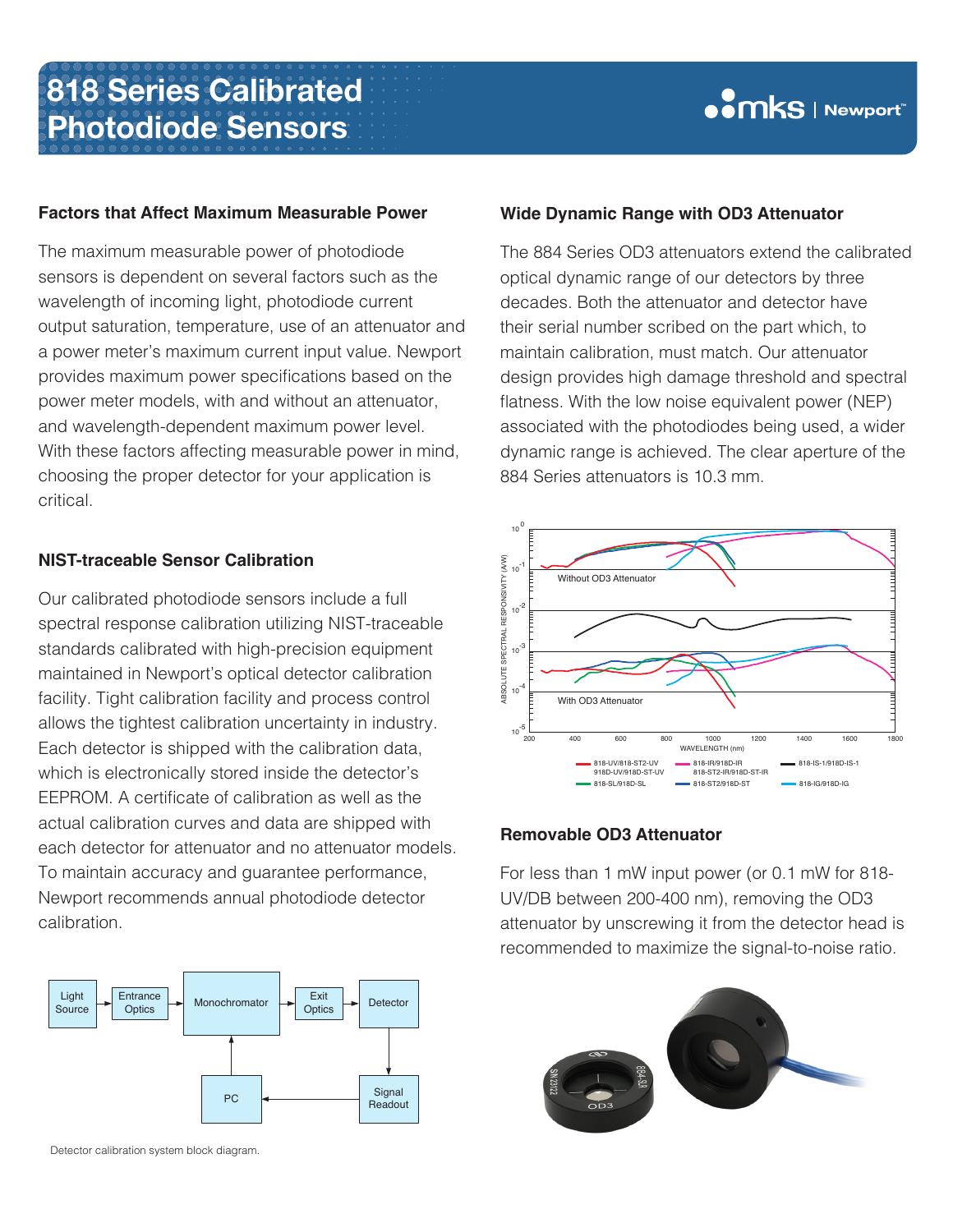#### **Factors that Affect Maximum Measurable Power**

The maximum measurable power of photodiode sensors is dependent on several factors such as the wavelength of incoming light, photodiode current output saturation, temperature, use of an attenuator and a power meter's maximum current input value. Newport provides maximum power specifications based on the power meter models, with and without an attenuator, and wavelength-dependent maximum power level. With these factors affecting measurable power in mind, choosing the proper detector for your application is critical.

#### **NIST-traceable Sensor Calibration**

Our calibrated photodiode sensors include a full spectral response calibration utilizing NIST-traceable standards calibrated with high-precision equipment maintained in Newport's optical detector calibration facility. Tight calibration facility and process control allows the tightest calibration uncertainty in industry. Each detector is shipped with the calibration data, which is electronically stored inside the detector's EEPROM. A certificate of calibration as well as the actual calibration curves and data are shipped with each detector for attenuator and no attenuator models. To maintain accuracy and guarantee performance, Newport recommends annual photodiode detector calibration.



Detector calibration system block diagram.

#### **Wide Dynamic Range with OD3 Attenuator**

The 884 Series OD3 attenuators extend the calibrated optical dynamic range of our detectors by three decades. Both the attenuator and detector have their serial number scribed on the part which, to maintain calibration, must match. Our attenuator design provides high damage threshold and spectral flatness. With the low noise equivalent power (NEP) associated with the photodiodes being used, a wider dynamic range is achieved. The clear aperture of the 884 Series attenuators is 10.3 mm.



#### **Removable OD3 Attenuator**

For less than 1 mW input power (or 0.1 mW for 818- UV/DB between 200-400 nm), removing the OD3 attenuator by unscrewing it from the detector head is recommended to maximize the signal-to-noise ratio.

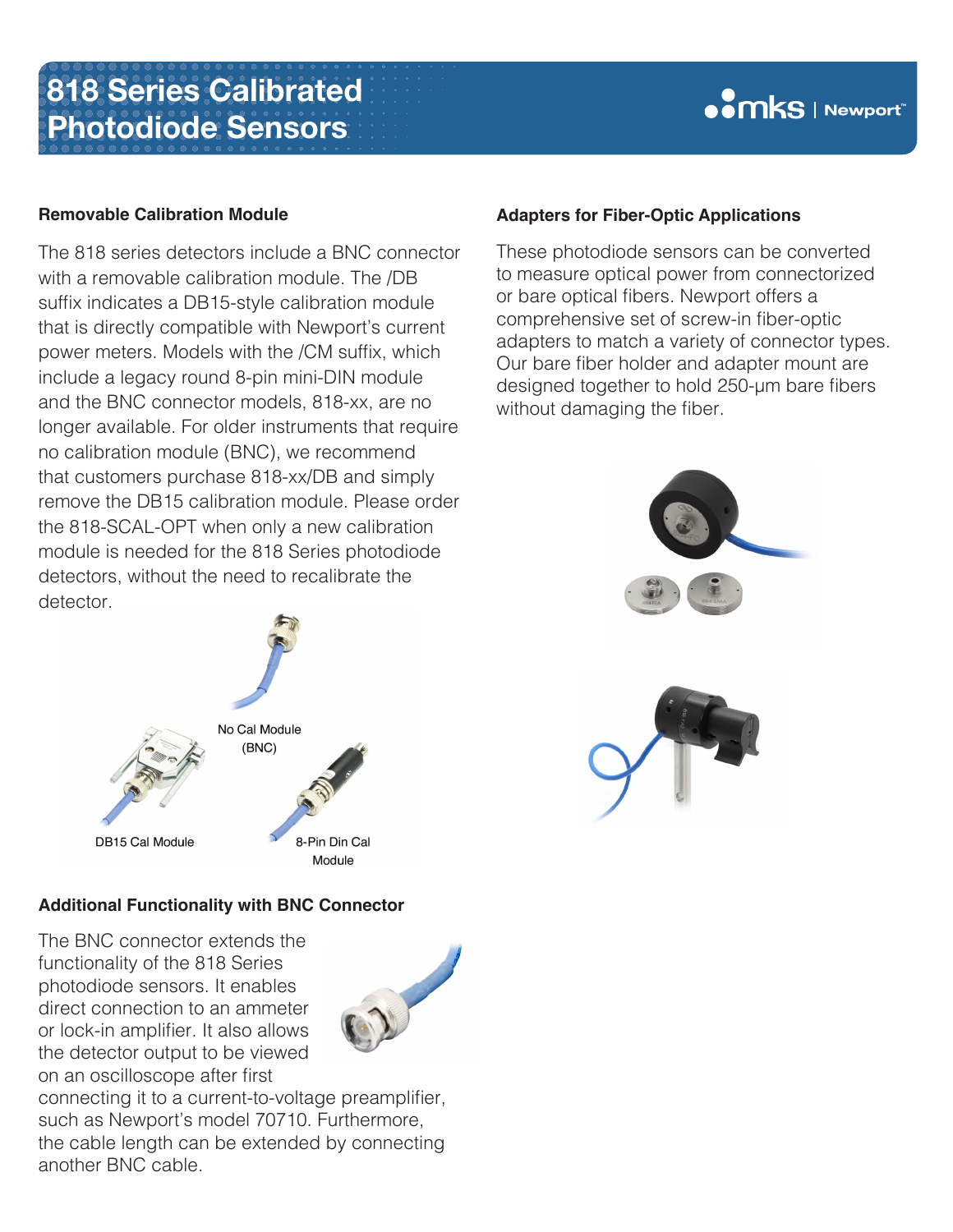### **OODUS** Newport

### **Removable Calibration Module**

The 818 series detectors include a BNC connector with a removable calibration module. The /DB suffix indicates a DB15-style calibration module that is directly compatible with Newport's current power meters. Models with the /CM suffix, which include a legacy round 8-pin mini-DIN module and the BNC connector models, 818-xx, are no longer available. For older instruments that require no calibration module (BNC), we recommend that customers purchase 818-xx/DB and simply remove the DB15 calibration module. Please order the 818-SCAL-OPT when only a new calibration module is needed for the 818 Series photodiode detectors, without the need to recalibrate the detector.



### **Additional Functionality with BNC Connector**

The BNC connector extends the functionality of the 818 Series photodiode sensors. It enables direct connection to an ammeter or lock-in amplifier. It also allows the detector output to be viewed on an oscilloscope after first



connecting it to a current-to-voltage preamplifier, such as Newport's model 70710. Furthermore, the cable length can be extended by connecting another BNC cable.

### **Adapters for Fiber-Optic Applications**

These photodiode sensors can be converted to measure optical power from connectorized or bare optical fibers. Newport offers a comprehensive set of screw-in fiber-optic adapters to match a variety of connector types. Our bare fiber holder and adapter mount are designed together to hold 250-µm bare fibers without damaging the fiber.